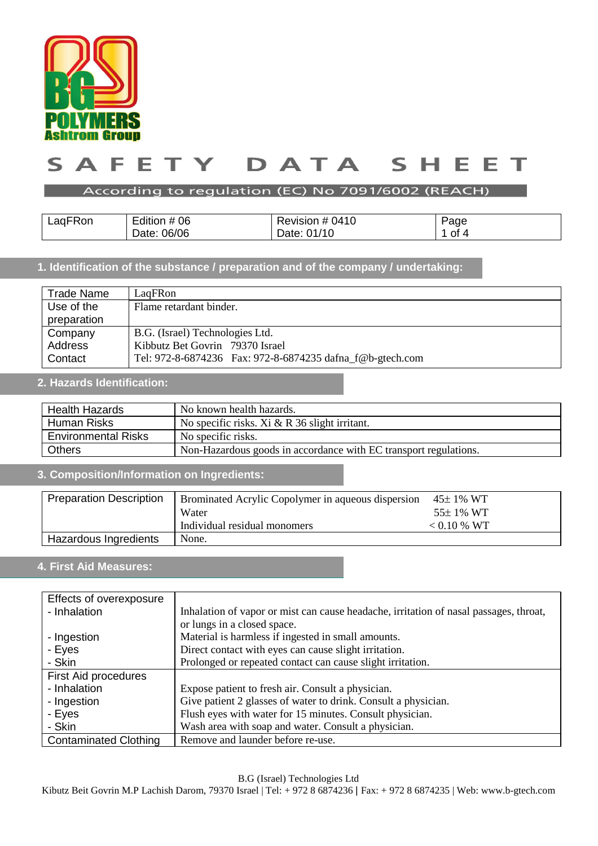

#### DATA  $\mathsf{s}$ A F ETY S E н. E т

#### According to regulation (EC) No 7091/6002 (REACH)

| LagFRon | Edition # 06 | Revision # 0410 | Page |
|---------|--------------|-----------------|------|
|         | Date: 06/06  | Date: 01/10     | 0t   |

## **1. Identification of the substance / preparation and of the company / undertaking:**

| Trade Name  | LagFRon                                                   |  |
|-------------|-----------------------------------------------------------|--|
| Use of the  | Flame retardant binder.                                   |  |
| preparation |                                                           |  |
| Company     | B.G. (Israel) Technologies Ltd.                           |  |
| Address     | Kibbutz Bet Govrin 79370 Israel                           |  |
| Contact     | Tel: 972-8-6874236 Fax: 972-8-6874235 dafna f@b-gtech.com |  |

## **2. Hazards Identification:**

| <b>Health Hazards</b><br>No known health hazards. |                                                                  |
|---------------------------------------------------|------------------------------------------------------------------|
| Human Risks                                       | No specific risks. Xi $& R$ 36 slight irritant.                  |
| <b>Environmental Risks</b>                        | No specific risks.                                               |
| <b>Others</b>                                     | Non-Hazardous goods in accordance with EC transport regulations. |

### **3. Composition/Information on Ingredients:**

| <b>Preparation Description</b> | <b>Brominated Acrylic Copolymer in aqueous dispersion</b> | $45\pm1\%$ WT |
|--------------------------------|-----------------------------------------------------------|---------------|
|                                | Water                                                     | $55\pm1\%$ WT |
|                                | Individual residual monomers                              | $< 0.10$ % WT |
| Hazardous Ingredients          | None.                                                     |               |

## **4. First Aid Measures: :**

| Effects of overexposure      |                                                                                       |
|------------------------------|---------------------------------------------------------------------------------------|
| - Inhalation                 | Inhalation of vapor or mist can cause headache, irritation of nasal passages, throat, |
|                              | or lungs in a closed space.                                                           |
| - Ingestion                  | Material is harmless if ingested in small amounts.                                    |
| - Eyes                       | Direct contact with eyes can cause slight irritation.                                 |
| - Skin                       | Prolonged or repeated contact can cause slight irritation.                            |
| <b>First Aid procedures</b>  |                                                                                       |
| - Inhalation                 | Expose patient to fresh air. Consult a physician.                                     |
| - Ingestion                  | Give patient 2 glasses of water to drink. Consult a physician.                        |
| - Eyes                       | Flush eyes with water for 15 minutes. Consult physician.                              |
| - Skin                       | Wash area with soap and water. Consult a physician.                                   |
| <b>Contaminated Clothing</b> | Remove and launder before re-use.                                                     |

B.G (Israel) Technologies Ltd

Kibutz Beit Govrin M.P Lachish Darom, 79370 Israel | Tel: + 972 8 6874236 | Fax: + 972 8 6874235 | Web: www.b-gtech.com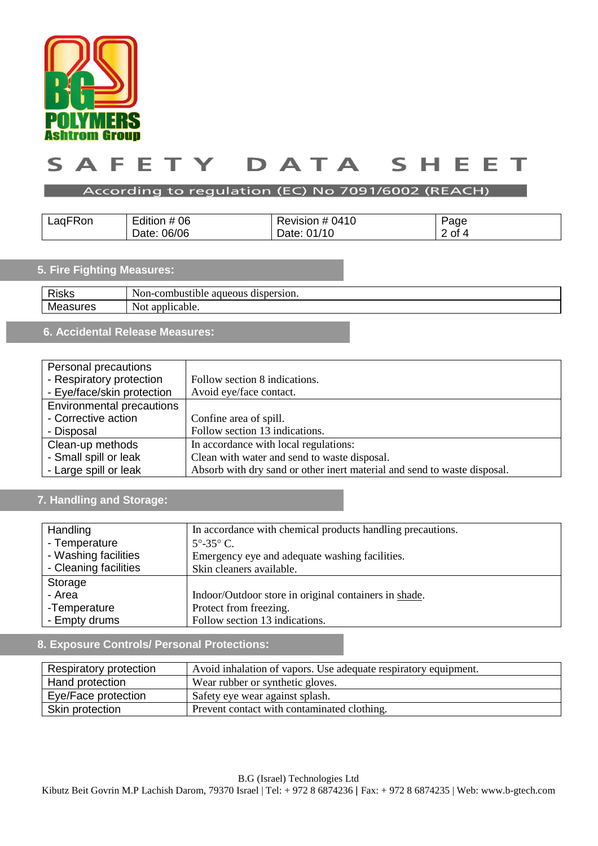

#### A F ETY DATA  $\mathsf{s}$  $\mathsf{S}$ н. Е F т

#### According to regulation (EC) No 7091/6002 (REACH)

| LagFRon | the company's company's company's<br>Edition # 06 | Revision # 0410 | Page     |
|---------|---------------------------------------------------|-----------------|----------|
|         | 06/06<br>Date:                                    | Date: 01/10     | $2$ of 4 |

## **5. Fire Fighting Measures:**

| <b>Risks</b> | -combustible-<br>dispersion.<br>$\text{Non-}\mathcal{C}$<br>aqueous |
|--------------|---------------------------------------------------------------------|
| Me<br>I US   | onr<br>plicable.<br>NOt<br>-ai                                      |
|              |                                                                     |

# **6. Accidental Release Measures:**

| Personal precautions             |                                                                          |
|----------------------------------|--------------------------------------------------------------------------|
| - Respiratory protection         | Follow section 8 indications.                                            |
| - Eye/face/skin protection       | Avoid eye/face contact.                                                  |
| <b>Environmental precautions</b> |                                                                          |
| - Corrective action              | Confine area of spill.                                                   |
| - Disposal                       | Follow section 13 indications.                                           |
| Clean-up methods                 | In accordance with local regulations:                                    |
| - Small spill or leak            | Clean with water and send to waste disposal.                             |
| - Large spill or leak            | Absorb with dry sand or other inert material and send to waste disposal. |

## **7. Handling and Storage:**

| Handling              | In accordance with chemical products handling precautions. |
|-----------------------|------------------------------------------------------------|
| - Temperature         | $5^{\circ}$ -35° C.                                        |
| - Washing facilities  | Emergency eye and adequate washing facilities.             |
| - Cleaning facilities | Skin cleaners available.                                   |
| Storage               |                                                            |
| - Area                | Indoor/Outdoor store in original containers in shade.      |
| -Temperature          | Protect from freezing.                                     |
| - Empty drums         | Follow section 13 indications.                             |

## **8. Exposure Controls/ Personal Protections:**

| Respiratory protection                                         | Avoid inhalation of vapors. Use adequate respiratory equipment. |
|----------------------------------------------------------------|-----------------------------------------------------------------|
| Hand protection                                                | Wear rubber or synthetic gloves.                                |
| Eye/Face protection                                            | Safety eye wear against splash.                                 |
| Prevent contact with contaminated clothing.<br>Skin protection |                                                                 |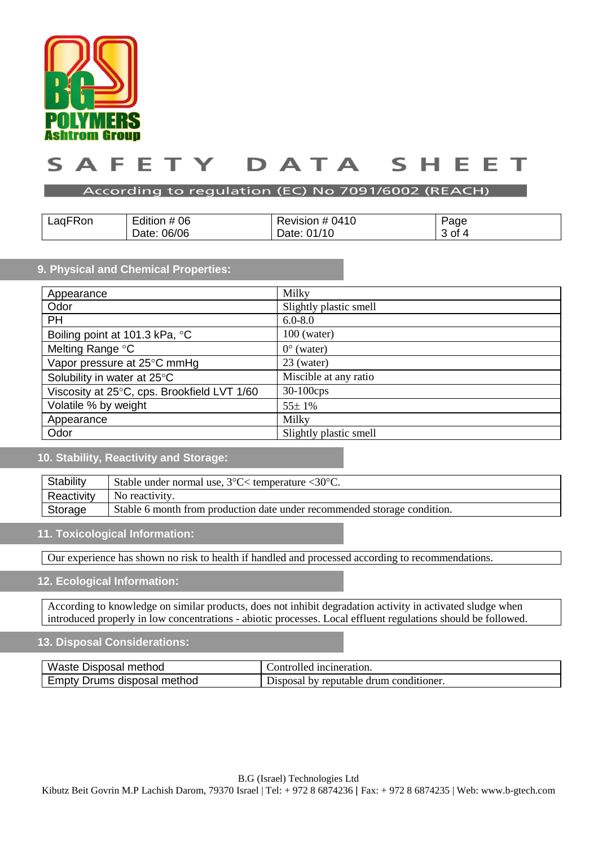

#### $\blacktriangle$ TY T DATA F F E ς ς

#### According to regulation (EC) No 7091/6002 (REACH)

| LagFRon | Edition # 06   | Revision # 0410 | Page              |
|---------|----------------|-----------------|-------------------|
|         | 06/06<br>Date: | 01/10<br>Date:  | ు of <sup>⊿</sup> |

### **9. Physical and Chemical Properties:**

| Appearance                                  | Milky                  |
|---------------------------------------------|------------------------|
| Odor                                        | Slightly plastic smell |
| <b>PH</b>                                   | $6.0 - 8.0$            |
| Boiling point at 101.3 kPa, °C              | $100$ (water)          |
| Melting Range °C                            | $0^{\circ}$ (water)    |
| Vapor pressure at 25°C mmHg                 | 23 (water)             |
| Solubility in water at 25°C                 | Miscible at any ratio  |
| Viscosity at 25°C, cps. Brookfield LVT 1/60 | $30-100$ cps           |
| Volatile % by weight                        | 55±1%                  |
| Appearance                                  | Milky                  |
| Odor                                        | Slightly plastic smell |

## **10. Stability, Reactivity and Storage:**

| Stability  | Stable under normal use, $3^{\circ}$ C $\lt$ temperature $\lt 30^{\circ}$ C. |
|------------|------------------------------------------------------------------------------|
| Reactivity | No reactivity.                                                               |
| Storage    | Stable 6 month from production date under recommended storage condition.     |

#### **11. Toxicological Information:**

Our experience has shown no risk to health if handled and processed according to recommendations.

#### **12. Ecological Information:**

According to knowledge on similar products, does not inhibit degradation activity in activated sludge when introduced properly in low concentrations - abiotic processes. Local effluent regulations should be followed.

### **13. Disposal Considerations:**

| Waste Disposal method       | Controlled incineration.                       |
|-----------------------------|------------------------------------------------|
| Empty Drums disposal method | I by reputable drum conditioner.<br>Disposal ' |